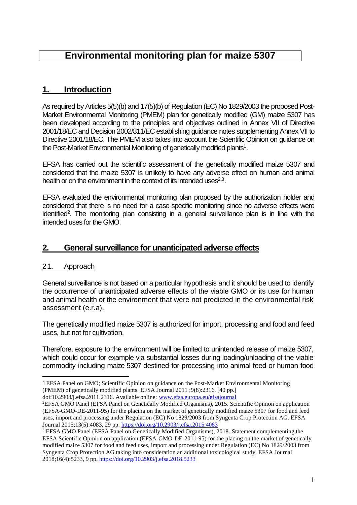# **Environmental monitoring plan for maize 5307**

## **1. Introduction**

As required by Articles 5(5)(b) and 17(5)(b) of Regulation (EC) No 1829/2003 the proposed Post-Market Environmental Monitoring (PMEM) plan for genetically modified (GM) maize 5307 has been developed according to the principles and objectives outlined in Annex VII of Directive 2001/18/EC and Decision 2002/811/EC establishing guidance notes supplementing Annex VII to Directive 2001/18/EC. The PMEM also takes into account the Scientific Opinion on guidance on the Post-Market Environmental Monitoring of genetically modified plants<sup>1</sup>.

EFSA has carried out the scientific assessment of the genetically modified maize 5307 and considered that the maize 5307 is unlikely to have any adverse effect on human and animal health or on the environment in the context of its intended uses $^{2,3}$ .

EFSA evaluated the environmental monitoring plan proposed by the authorization holder and considered that there is no need for a case-specific monitoring since no adverse effects were identified<sup>2</sup>. The monitoring plan consisting in a general surveillance plan is in line with the intended uses for the GMO.

## **2. General surveillance for unanticipated adverse effects**

## 2.1. Approach

1

General surveillance is not based on a particular hypothesis and it should be used to identify the occurrence of unanticipated adverse effects of the viable GMO or its use for human and animal health or the environment that were not predicted in the environmental risk assessment (e.r.a).

The genetically modified maize 5307 is authorized for import, processing and food and feed uses, but not for cultivation.

Therefore, exposure to the environment will be limited to unintended release of maize 5307, which could occur for example via substantial losses during loading/unloading of the viable commodity including maize 5307 destined for processing into animal feed or human food

doi:10.2903/j.efsa.2011.2316. Available online: [www.efsa.europa.eu/efsajournal](http://www.efsa.europa.eu/efsajournal)

<sup>1</sup>EFSA Panel on GMO; Scientific Opinion on guidance on the Post-Market Environmental Monitoring (PMEM) of genetically modified plants. EFSA Journal 2011 ;9(8):2316. [40 pp.]

<sup>&</sup>lt;sup>2</sup>EFSA GMO Panel (EFSA Panel on Genetically Modified Organisms), 2015. Scientific Opinion on application (EFSA-GMO-DE-2011-95) for the placing on the market of genetically modified maize 5307 for food and feed uses, import and processing under Regulation (EC) No 1829/2003 from Syngenta Crop Protection AG. EFSA Journal 2015;13(5):4083, 29 pp.<https://doi.org/10.2903/j.efsa.2015.4083>

<sup>&</sup>lt;sup>3</sup> EFSA GMO Panel (EFSA Panel on Genetically Modified Organisms), 2018. Statement complementing the EFSA Scientific Opinion on application (EFSA-GMO-DE-2011-95) for the placing on the market of genetically modified maize 5307 for food and feed uses, import and processing under Regulation (EC) No 1829/2003 from Syngenta Crop Protection AG taking into consideration an additional toxicological study. EFSA Journal 2018;16(4):5233, 9 pp[. https://doi.org/10.2903/j.efsa.2018.5233](https://doi.org/10.2903/j.efsa.2018.5233)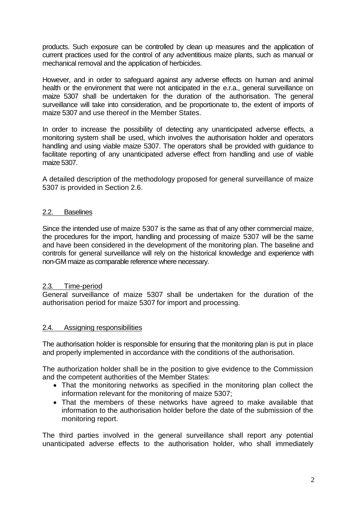products. Such exposure can be controlled by clean up measures and the application of current practices used for the control of any adventitious maize plants, such as manual or mechanical removal and the application of herbicides.

However, and in order to safeguard against any adverse effects on human and animal health or the environment that were not anticipated in the e.r.a., general surveillance on maize 5307 shall be undertaken for the duration of the authorisation. The general surveillance will take into consideration, and be proportionate to, the extent of imports of maize 5307 and use thereof in the Member States.

In order to increase the possibility of detecting any unanticipated adverse effects, a monitoring system shall be used, which involves the authorisation holder and operators handling and using viable maize 5307. The operators shall be provided with guidance to facilitate reporting of any unanticipated adverse effect from handling and use of viable maize 5307.

A detailed description of the methodology proposed for general surveillance of maize 5307 is provided in Section 2.6.

#### 2.2. Baselines

Since the intended use of maize 5307 is the same as that of any other commercial maize, the procedures for the import, handling and processing of maize 5307 will be the same and have been considered in the development of the monitoring plan. The baseline and controls for general surveillance will rely on the historical knowledge and experience with non-GM maize as comparable reference where necessary.

#### 2.3. Time-period

General surveillance of maize 5307 shall be undertaken for the duration of the authorisation period for maize 5307 for import and processing.

#### 2.4. Assigning responsibilities

The authorisation holder is responsible for ensuring that the monitoring plan is put in place and properly implemented in accordance with the conditions of the authorisation.

The authorization holder shall be in the position to give evidence to the Commission and the competent authorities of the Member States:

- That the monitoring networks as specified in the monitoring plan collect the information relevant for the monitoring of maize 5307;
- That the members of these networks have agreed to make available that information to the authorisation holder before the date of the submission of the monitoring report.

The third parties involved in the general surveillance shall report any potential unanticipated adverse effects to the authorisation holder, who shall immediately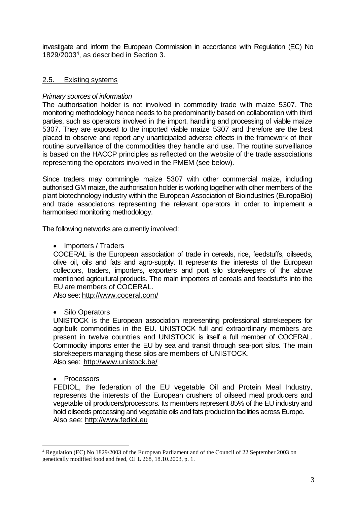investigate and inform the European Commission in accordance with Regulation (EC) No 1829/2003 4 , as described in Section 3.

### 2.5. Existing systems

### *Primary sources of information*

The authorisation holder is not involved in commodity trade with maize 5307. The monitoring methodology hence needs to be predominantly based on collaboration with third parties, such as operators involved in the import, handling and processing of viable maize 5307. They are exposed to the imported viable maize 5307 and therefore are the best placed to observe and report any unanticipated adverse effects in the framework of their routine surveillance of the commodities they handle and use. The routine surveillance is based on the HACCP principles as reflected on the website of the trade associations representing the operators involved in the PMEM (see below).

Since traders may commingle maize 5307 with other commercial maize, including authorised GM maize, the authorisation holder is working together with other members of the plant biotechnology industry within the European Association of Bioindustries (EuropaBio) and trade associations representing the relevant operators in order to implement a harmonised monitoring methodology.

The following networks are currently involved:

• Importers / Traders

COCERAL is the European association of trade in cereals, rice, feedstuffs, oilseeds, olive oil, oils and fats and agro-supply. It represents the interests of the European collectors, traders, importers, exporters and port silo storekeepers of the above mentioned agricultural products. The main importers of cereals and feedstuffs into the EU are members of COCERAL.

Also see[: http://www.coceral.com/](http://www.coceral.com/)

• Silo Operators

UNISTOCK is the European association representing professional storekeepers for agribulk commodities in the EU. UNISTOCK full and extraordinary members are present in twelve countries and UNISTOCK is itself a full member of COCERAL. Commodity imports enter the EU by sea and transit through sea-port silos. The main storekeepers managing these silos are members of UNISTOCK. Also see: <http://www.unistock.be/>

• Processors

1

FEDIOL, the federation of the EU vegetable Oil and Protein Meal Industry, represents the interests of the European crushers of oilseed meal producers and vegetable oil producers/processors. Its members represent 85% of the EU industry and hold oilseeds processing and vegetable oils and fats production facilities across Europe. Also see: [http://www.fediol.eu](http://www.fediol.be/1/main1.php)

<sup>4</sup> Regulation (EC) No 1829/2003 of the European Parliament and of the Council of 22 September 2003 on genetically modified food and feed, OJ L 268, 18.10.2003, p. 1.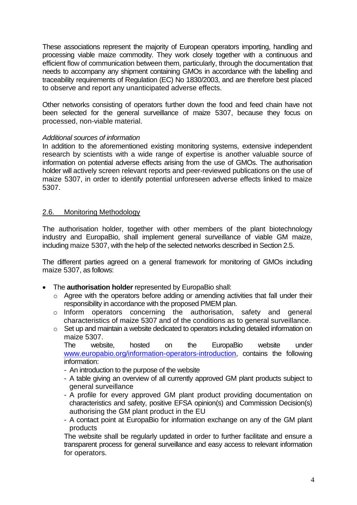These associations represent the majority of European operators importing, handling and processing viable maize commodity. They work closely together with a continuous and efficient flow of communication between them, particularly, through the documentation that needs to accompany any shipment containing GMOs in accordance with the labelling and traceability requirements of Regulation (EC) No 1830/2003, and are therefore best placed to observe and report any unanticipated adverse effects.

Other networks consisting of operators further down the food and feed chain have not been selected for the general surveillance of maize 5307, because they focus on processed, non-viable material.

#### *Additional sources of information*

In addition to the aforementioned existing monitoring systems, extensive independent research by scientists with a wide range of expertise is another valuable source of information on potential adverse effects arising from the use of GMOs. The authorisation holder will actively screen relevant reports and peer-reviewed publications on the use of maize 5307, in order to identify potential unforeseen adverse effects linked to maize 5307.

#### 2.6. Monitoring Methodology

The authorisation holder, together with other members of the plant biotechnology industry and EuropaBio, shall implement general surveillance of viable GM maize, including maize 5307, with the help of the selected networks described in Section 2.5.

The different parties agreed on a general framework for monitoring of GMOs including maize 5307, as follows:

- The **authorisation holder** represented by EuropaBio shall:
	- o Agree with the operators before adding or amending activities that fall under their responsibility in accordance with the proposed PMEM plan.
	- o Inform operators concerning the authorisation, safety and general characteristics of maize 5307 and of the conditions as to general surveillance.
	- o Set up and maintain a website dedicated to operators including detailed information on maize 5307.

The website, hosted on the EuropaBio website under [www.europabio.org/information-operators-introduction,](http://www.europabio.org/information-operators-introduction) contains the following information:

- An introduction to the purpose of the website
- A table giving an overview of all currently approved GM plant products subject to general surveillance
- A profile for every approved GM plant product providing documentation on characteristics and safety, positive EFSA opinion(s) and Commission Decision(s) authorising the GM plant product in the EU
- A contact point at EuropaBio for information exchange on any of the GM plant products

The website shall be regularly updated in order to further facilitate and ensure a transparent process for general surveillance and easy access to relevant information for operators.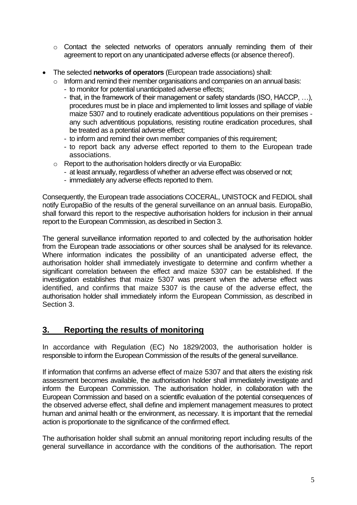- o Contact the selected networks of operators annually reminding them of their agreement to report on any unanticipated adverse effects (or absence thereof).
- The selected **networks of operators** (European trade associations) shall:
	- $\circ$  Inform and remind their member organisations and companies on an annual basis:
		- to monitor for potential unanticipated adverse effects;
		- that, in the framework of their management or safety standards (ISO, HACCP, …), procedures must be in place and implemented to limit losses and spillage of viable maize 5307 and to routinely eradicate adventitious populations on their premises any such adventitious populations, resisting routine eradication procedures, shall be treated as a potential adverse effect;
		- to inform and remind their own member companies of this requirement;
		- to report back any adverse effect reported to them to the European trade associations.
	- o Report to the authorisation holders directly or via EuropaBio:
		- at least annually, regardless of whether an adverse effect was observed or not;
		- immediately any adverse effects reported to them.

Consequently, the European trade associations COCERAL, UNISTOCK and FEDIOL shall notify EuropaBio of the results of the general surveillance on an annual basis. EuropaBio, shall forward this report to the respective authorisation holders for inclusion in their annual report to the European Commission, as described in Section 3.

The general surveillance information reported to and collected by the authorisation holder from the European trade associations or other sources shall be analysed for its relevance. Where information indicates the possibility of an unanticipated adverse effect, the authorisation holder shall immediately investigate to determine and confirm whether a significant correlation between the effect and maize 5307 can be established. If the investigation establishes that maize 5307 was present when the adverse effect was identified, and confirms that maize 5307 is the cause of the adverse effect, the authorisation holder shall immediately inform the European Commission, as described in Section 3.

## **3. Reporting the results of monitoring**

In accordance with Regulation (EC) No 1829/2003, the authorisation holder is responsible to inform the European Commission of the results of the general surveillance.

If information that confirms an adverse effect of maize 5307 and that alters the existing risk assessment becomes available, the authorisation holder shall immediately investigate and inform the European Commission. The authorisation holder, in collaboration with the European Commission and based on a scientific evaluation of the potential consequences of the observed adverse effect, shall define and implement management measures to protect human and animal health or the environment, as necessary. It is important that the remedial action is proportionate to the significance of the confirmed effect.

The authorisation holder shall submit an annual monitoring report including results of the general surveillance in accordance with the conditions of the authorisation. The report